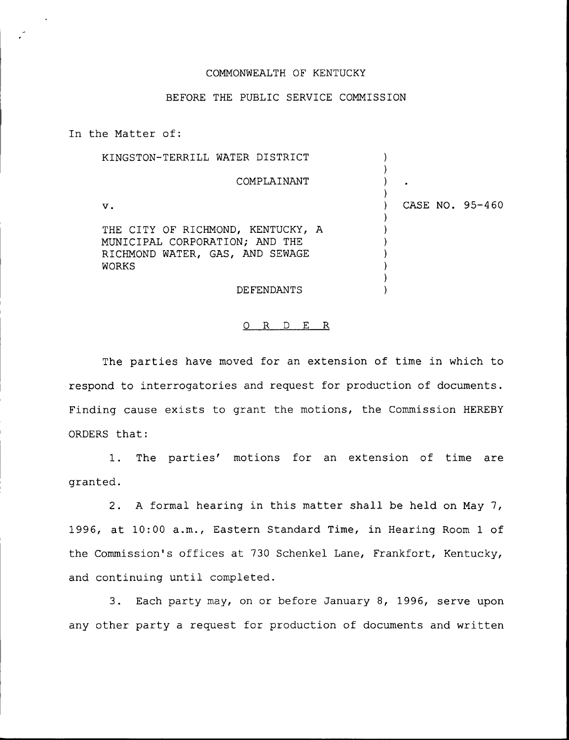## COMMONWEALTH OF KENTUCKY

## BEFORE THE PUBLIC SERVICE COMMISSION

In the Matter of: KINGSTON-TERRILL WATER DISTRICT COMPLAINANT V. THE CITY OF RICHMOND, KENTUCKY, A MUNICIPAL CORPORATION; AND THE RICHMOND WATER, GAS, AND SEWAGE WORKS DEFENDANTS ) )  $\left| \right\rangle$  $\lambda$ ) CASE NO. 95-460  $\lambda$ ) ) ) ) ) )

## 0 R <sup>D</sup> E R

The parties have moved for an extension of time in which to respond to interrogatories and request for production of documents. Finding cause exists to grant the motions, the Commission HEREBY ORDERS that'.

The parties' motions for an extension of time are 1. granted.

2. <sup>A</sup> formal hearing in this matter shall be held on May 7, 1996, at 10:00 a.m., Eastern Standard Time, in Hearing Room <sup>1</sup> of the Commission's offices at 730 Schenkel Lane, Frankfort, Kentucky, and continuing until completed.

3. Each party may, on or before January 8, 1996, serve upon any other party a request for production of documents and written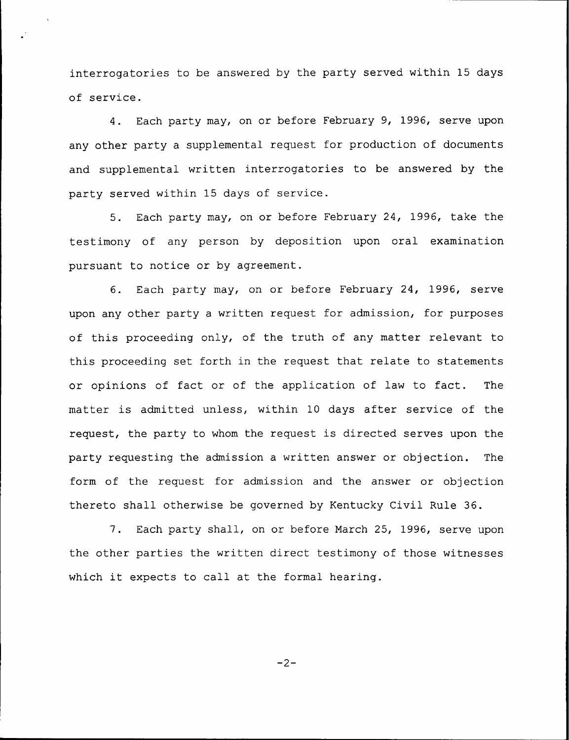interrogatories to be answered by the party served within 15 days of service.

4. Each party may, on or before February 9, 1996, serve upon any other party a supplemental request for production of documents and supplemental written interrogatories to be answered by the party served within 15 days of service.

5. Each party may, on or before February 24, 1996, take the testimony of any person by deposition upon oral examination pursuant to notice or by agreement.

6. Each party may, on or before February 24, 1996, serve upon any other party a written request for admission, for purposes of this proceeding only, of the truth of any matter relevant to this proceeding set forth in the request that relate to statements or opinions of fact or of the application of law to fact. The matter is admitted unless, within 10 days after service of the request, the party to whom the request is directed serves upon the party requesting the admission a written answer or objection. The form of the request for admission and the answer or objection thereto shall otherwise be governed by Kentucky Civil Rule 36.

7. Each party shall, on or before March 25, 1996, serve upon the other parties the written direct testimony of those witnesses which it expects to call at the formal hearing.

 $-2-$